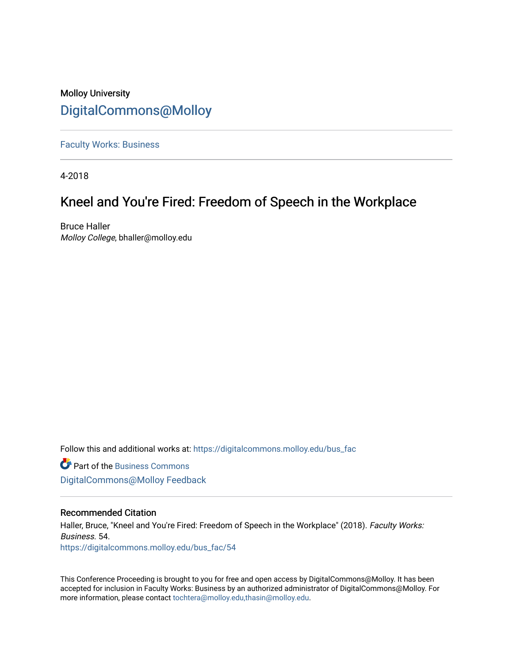# Molloy University [DigitalCommons@Molloy](https://digitalcommons.molloy.edu/)

[Faculty Works: Business](https://digitalcommons.molloy.edu/bus_fac) 

4-2018

# Kneel and You're Fired: Freedom of Speech in the Workplace

Bruce Haller Molloy College, bhaller@molloy.edu

Follow this and additional works at: [https://digitalcommons.molloy.edu/bus\\_fac](https://digitalcommons.molloy.edu/bus_fac?utm_source=digitalcommons.molloy.edu%2Fbus_fac%2F54&utm_medium=PDF&utm_campaign=PDFCoverPages)

**C** Part of the [Business Commons](https://network.bepress.com/hgg/discipline/622?utm_source=digitalcommons.molloy.edu%2Fbus_fac%2F54&utm_medium=PDF&utm_campaign=PDFCoverPages) [DigitalCommons@Molloy Feedback](https://molloy.libwizard.com/f/dcfeedback)

#### Recommended Citation

Haller, Bruce, "Kneel and You're Fired: Freedom of Speech in the Workplace" (2018). Faculty Works: Business. 54. [https://digitalcommons.molloy.edu/bus\\_fac/54](https://digitalcommons.molloy.edu/bus_fac/54?utm_source=digitalcommons.molloy.edu%2Fbus_fac%2F54&utm_medium=PDF&utm_campaign=PDFCoverPages) 

This Conference Proceeding is brought to you for free and open access by DigitalCommons@Molloy. It has been accepted for inclusion in Faculty Works: Business by an authorized administrator of DigitalCommons@Molloy. For more information, please contact [tochtera@molloy.edu,thasin@molloy.edu.](mailto:tochtera@molloy.edu,thasin@molloy.edu)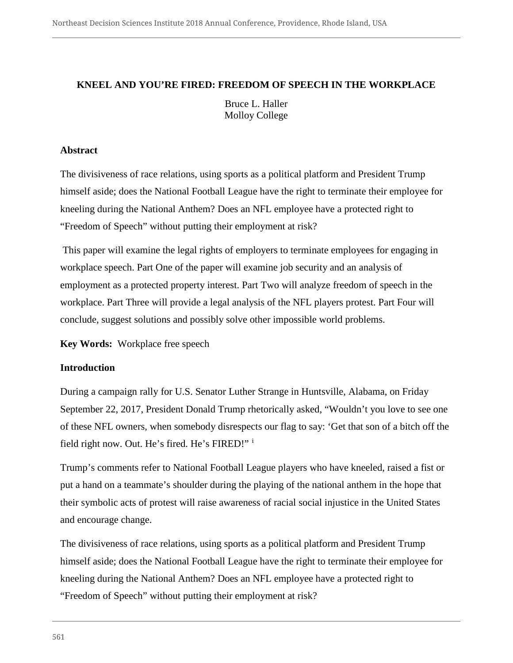# **KNEEL AND YOU'RE FIRED: FREEDOM OF SPEECH IN THE WORKPLACE**

Bruce L. Haller Molloy College

# **Abstract**

The divisiveness of race relations, using sports as a political platform and President Trump himself aside; does the National Football League have the right to terminate their employee for kneeling during the National Anthem? Does an NFL employee have a protected right to "Freedom of Speech" without putting their employment at risk?

This paper will examine the legal rights of employers to terminate employees for engaging in workplace speech. Part One of the paper will examine job security and an analysis of employment as a protected property interest. Part Two will analyze freedom of speech in the workplace. Part Three will provide a legal analysis of the NFL players protest. Part Four will conclude, suggest solutions and possibly solve other impossible world problems.

**Key Words:** Workplace free speech

# **Introduction**

During a campaign rally for U.S. Senator Luther Strange in Huntsville, Alabama, on Friday September 22, 2017, President Donald Trump rhetorically asked, "Wouldn't you love to see one of these NFL owners, when somebody disrespects our flag to say: 'Get that son of a bitch off the field right now. Out. He's fired. He's FIRED!" <sup>i</sup>

Trump's comments refer to National Football League players who have kneeled, raised a fist or put a hand on a teammate's shoulder during the playing of the national anthem in the hope that their symbolic acts of protest will raise awareness of racial social injustice in the United States and encourage change.

The divisiveness of race relations, using sports as a political platform and President Trump himself aside; does the National Football League have the right to terminate their employee for kneeling during the National Anthem? Does an NFL employee have a protected right to "Freedom of Speech" without putting their employment at risk?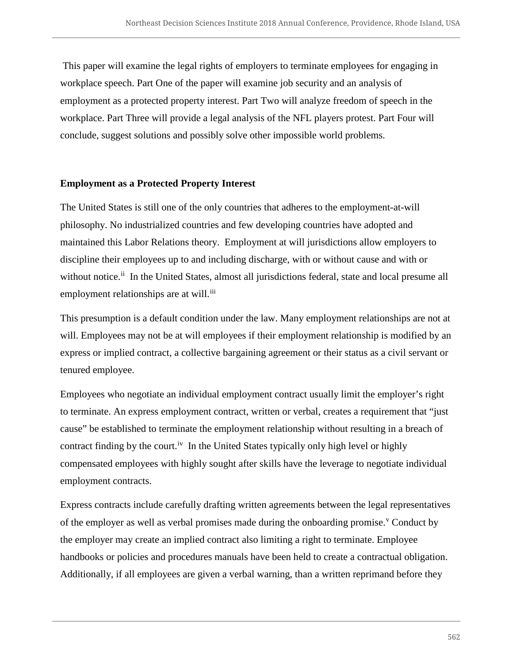This paper will examine the legal rights of employers to terminate employees for engaging in workplace speech. Part One of the paper will examine job security and an analysis of employment as a protected property interest. Part Two will analyze freedom of speech in the workplace. Part Three will provide a legal analysis of the NFL players protest. Part Four will conclude, suggest solutions and possibly solve other impossible world problems.

# **Employment as a Protected Property Interest**

The United States is still one of the only countries that adheres to the employment-at-will philosophy. No industrialized countries and few developing countries have adopted and maintained this Labor Relations theory. Employment at will jurisdictions allow employers to discipline their employees up to and including discharge, with or without cause and with or without notice.<sup>ii</sup> In the United States, almost all jurisdictions federal, state and local presume all employment relationships are at will.<sup>iii</sup>

This presumption is a default condition under the law. Many employment relationships are not at will. Employees may not be at will employees if their employment relationship is modified by an express or implied contract, a collective bargaining agreement or their status as a civil servant or tenured employee.

Employees who negotiate an individual employment contract usually limit the employer's right to terminate. An express employment contract, written or verbal, creates a requirement that "just cause" be established to terminate the employment relationship without resulting in a breach of contract finding by the court.<sup>iv</sup> In the United States typically only high level or highly compensated employees with highly sought after skills have the leverage to negotiate individual employment contracts.

Express contracts include carefully drafting written agreements between the legal representatives of the employer as well as verbal promises made during the onboarding promise.<sup>v</sup> Conduct by the employer may create an implied contract also limiting a right to terminate. Employee handbooks or policies and procedures manuals have been held to create a contractual obligation. Additionally, if all employees are given a verbal warning, than a written reprimand before they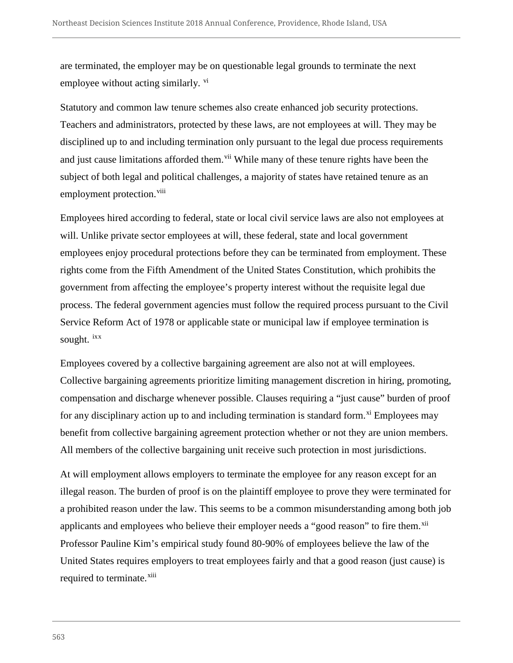are terminated, the employer may be on questionable legal grounds to terminate the next employee without acting similarly.  $\overline{v}$ 

Statutory and common law tenure schemes also create enhanced job security protections. Teachers and administrators, protected by these laws, are not employees at will. They may be disciplined up to and including termination only pursuant to the legal due process requirements and just cause limitations afforded them.<sup>vii</sup> While many of these tenure rights have been the subject of both legal and political challenges, a majority of states have retained tenure as an employment protection.<sup>viii</sup>

Employees hired according to federal, state or local civil service laws are also not employees at will. Unlike private sector employees at will, these federal, state and local government employees enjoy procedural protections before they can be terminated from employment. These rights come from the Fifth Amendment of the United States Constitution, which prohibits the government from affecting the employee's property interest without the requisite legal due process. The federal government agencies must follow the required process pursuant to the Civil Service Reform Act of 1978 or applicable state or municipal law if employee termination is sought. ixx

Employees covered by a collective bargaining agreement are also not at will employees. Collective bargaining agreements prioritize limiting management discretion in hiring, promoting, compensation and discharge whenever possible. Clauses requiring a "just cause" burden of proof for any disciplinary action up to and including termination is standard form.<sup>xi</sup> Employees may benefit from collective bargaining agreement protection whether or not they are union members. All members of the collective bargaining unit receive such protection in most jurisdictions.

At will employment allows employers to terminate the employee for any reason except for an illegal reason. The burden of proof is on the plaintiff employee to prove they were terminated for a prohibited reason under the law. This seems to be a common misunderstanding among both job applicants and employees who believe their employer needs a "good reason" to fire them.<sup>xii</sup> Professor Pauline Kim's empirical study found 80-90% of employees believe the law of the United States requires employers to treat employees fairly and that a good reason (just cause) is required to terminate.<sup>xiii</sup>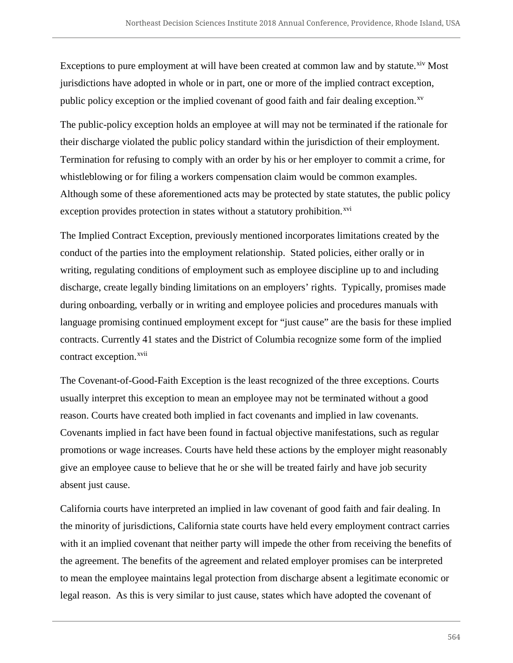Exceptions to pure employment at will have been created at common law and by statute.<sup>xiv</sup> Most jurisdictions have adopted in whole or in part, one or more of the implied contract exception, public policy exception or the implied covenant of good faith and fair dealing exception.<sup>xv</sup>

The public-policy exception holds an employee at will may not be terminated if the rationale for their discharge violated the public policy standard within the jurisdiction of their employment. Termination for refusing to comply with an order by his or her employer to commit a crime, for whistleblowing or for filing a workers compensation claim would be common examples. Although some of these aforementioned acts may be protected by state statutes, the public policy exception provides protection in states without a statutory prohibition.<sup>xvi</sup>

The Implied Contract Exception, previously mentioned incorporates limitations created by the conduct of the parties into the employment relationship. Stated policies, either orally or in writing, regulating conditions of employment such as employee discipline up to and including discharge, create legally binding limitations on an employers' rights. Typically, promises made during onboarding, verbally or in writing and employee policies and procedures manuals with language promising continued employment except for "just cause" are the basis for these implied contracts. Currently 41 states and the District of Columbia recognize some form of the implied contract exception.<sup>xvii</sup>

The Covenant-of-Good-Faith Exception is the least recognized of the three exceptions. Courts usually interpret this exception to mean an employee may not be terminated without a good reason. Courts have created both implied in fact covenants and implied in law covenants. Covenants implied in fact have been found in factual objective manifestations, such as regular promotions or wage increases. Courts have held these actions by the employer might reasonably give an employee cause to believe that he or she will be treated fairly and have job security absent just cause.

California courts have interpreted an implied in law covenant of good faith and fair dealing. In the minority of jurisdictions, California state courts have held every employment contract carries with it an implied covenant that neither party will impede the other from receiving the benefits of the agreement. The benefits of the agreement and related employer promises can be interpreted to mean the employee maintains legal protection from discharge absent a legitimate economic or legal reason. As this is very similar to just cause, states which have adopted the covenant of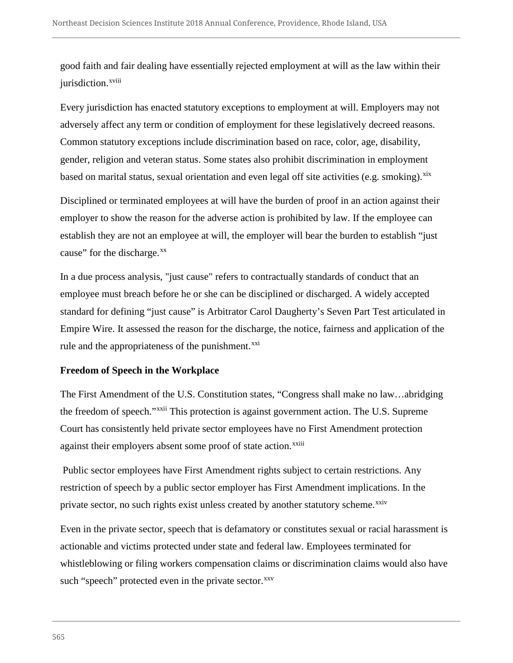good faith and fair dealing have essentially rejected employment at will as the law within their jurisdiction.<sup>xviii</sup>

Every jurisdiction has enacted statutory exceptions to employment at will. Employers may not adversely affect any term or condition of employment for these legislatively decreed reasons. Common statutory exceptions include discrimination based on race, color, age, disability, gender, religion and veteran status. Some states also prohibit discrimination in employment based on marital status, sexual orientation and even legal off site activities (e.g. smoking).<sup>xix</sup>

Disciplined or terminated employees at will have the burden of proof in an action against their employer to show the reason for the adverse action is prohibited by law. If the employee can establish they are not an employee at will, the employer will bear the burden to establish "just cause" for the discharge.<sup>xx</sup>

In a due process analysis, "just cause" refers to contractually standards of conduct that an employee must breach before he or she can be disciplined or discharged. A widely accepted standard for defining "just cause" is Arbitrator Carol Daugherty's Seven Part Test articulated in Empire Wire. It assessed the reason for the discharge, the notice, fairness and application of the rule and the appropriateness of the punishment. $xxi$ 

#### **Freedom of Speech in the Workplace**

The First Amendment of the U.S. Constitution states, "Congress shall make no law…abridging the freedom of speech."<sup>xxii</sup> This protection is against government action. The U.S. Supreme against their employers absent some proof of state action.<sup>xxiii</sup> Court has consistently held private sector employees have no First Amendment protection

Public sector employees have First Amendment rights subject to certain restrictions. Any restriction of speech by a public sector employer has First Amendment implications. In the private sector, no such rights exist unless created by another statutory scheme.<sup>xxiv</sup>

Even in the private sector, speech that is defamatory or constitutes sexual or racial harassment is actionable and victims protected under state and federal law. Employees terminated for whistleblowing or filing workers compensation claims or discrimination claims would also have such "speech" protected even in the private sector.<sup>xxv</sup>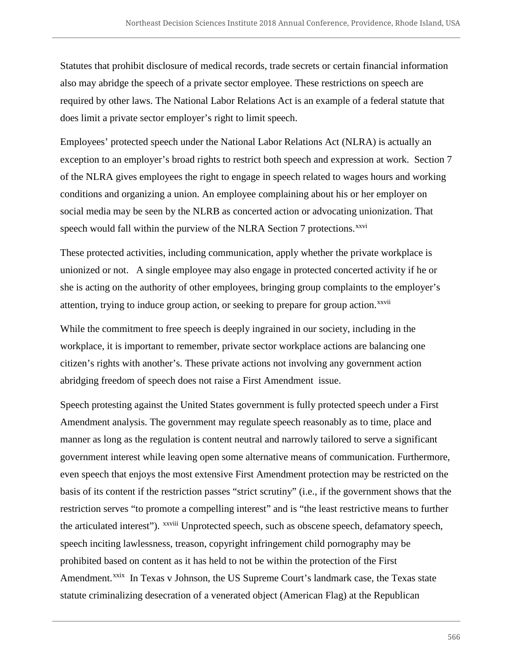Statutes that prohibit disclosure of medical records, trade secrets or certain financial information also may abridge the speech of a private sector employee. These restrictions on speech are required by other laws. The National Labor Relations Act is an example of a federal statute that does limit a private sector employer's right to limit speech.

Employees' protected speech under the National Labor Relations Act (NLRA) is actually an exception to an employer's broad rights to restrict both speech and expression at work. Section 7 of the NLRA gives employees the right to engage in speech related to wages hours and working conditions and organizing a union. An employee complaining about his or her employer on social media may be seen by the NLRB as concerted action or advocating unionization. That speech would fall within the purview of the NLRA Section 7 protections.<sup>xxvi</sup>

These protected activities, including communication, apply whether the private workplace is unionized or not. A single employee may also engage in protected concerted activity if he or she is acting on the authority of other employees, bringing group complaints to the employer's attention, trying to induce group action, or seeking to prepare for group action.<sup>xxvii</sup>

While the commitment to free speech is deeply ingrained in our society, including in the workplace, it is important to remember, private sector workplace actions are balancing one citizen's rights with another's. These private actions not involving any government action abridging freedom of speech does not raise a First Amendment issue.

Speech protesting against the United States government is fully protected speech under a First Amendment analysis. The government may regulate speech reasonably as to time, place and manner as long as the regulation is content neutral and narrowly tailored to serve a significant government interest while leaving open some alternative means of communication. Furthermore, even speech that enjoys the most extensive First Amendment protection may be restricted on the basis of its content if the restriction passes "strict scrutiny" (i.e., if the government shows that the restriction serves "to promote a compelling interest" and is "the least restrictive means to further the articulated interest"). xxviii Unprotected speech, such as obscene speech, defamatory speech, speech inciting lawlessness, treason, copyright infringement child pornography may be prohibited based on content as it has held to not be within the protection of the First Amendment.<sup>xxix</sup> In Texas v Johnson, the US Supreme Court's landmark case, the Texas state statute criminalizing desecration of a venerated object (American Flag) at the Republican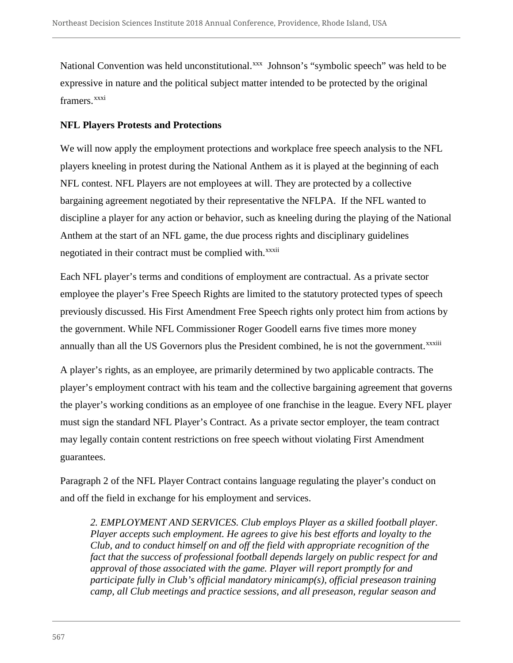National Convention was held unconstitutional.<sup>xxx</sup> Johnson's "symbolic speech" was held to be expressive in nature and the political subject matter intended to be protected by the original framers.<sup>xxxi</sup>

#### **NFL Players Protests and Protections**

We will now apply the employment protections and workplace free speech analysis to the NFL players kneeling in protest during the National Anthem as it is played at the beginning of each NFL contest. NFL Players are not employees at will. They are protected by a collective bargaining agreement negotiated by their representative the NFLPA. If the NFL wanted to discipline a player for any action or behavior, such as kneeling during the playing of the National Anthem at the start of an NFL game, the due process rights and disciplinary guidelines negotiated in their contract must be complied with.<sup>xxxii</sup>

Each NFL player's terms and conditions of employment are contractual. As a private sector employee the player's Free Speech Rights are limited to the statutory protected types of speech previously discussed. His First Amendment Free Speech rights only protect him from actions by the government. While NFL Commissioner Roger Goodell earns five times more money annually than all the US Governors plus the President combined, he is not the government.<sup>xxxiii</sup>

A player's rights, as an employee, are primarily determined by two applicable contracts. The player's employment contract with his team and the collective bargaining agreement that governs the player's working conditions as an employee of one franchise in the league. Every NFL player must sign the standard NFL Player's Contract. As a private sector employer, the team contract may legally contain content restrictions on free speech without violating First Amendment guarantees.

Paragraph 2 of the NFL Player Contract contains language regulating the player's conduct on and off the field in exchange for his employment and services.

*2. EMPLOYMENT AND SERVICES. Club employs Player as a skilled football player. Player accepts such employment. He agrees to give his best efforts and loyalty to the Club, and to conduct himself on and off the field with appropriate recognition of the fact that the success of professional football depends largely on public respect for and approval of those associated with the game. Player will report promptly for and participate fully in Club's official mandatory minicamp(s), official preseason training camp, all Club meetings and practice sessions, and all preseason, regular season and*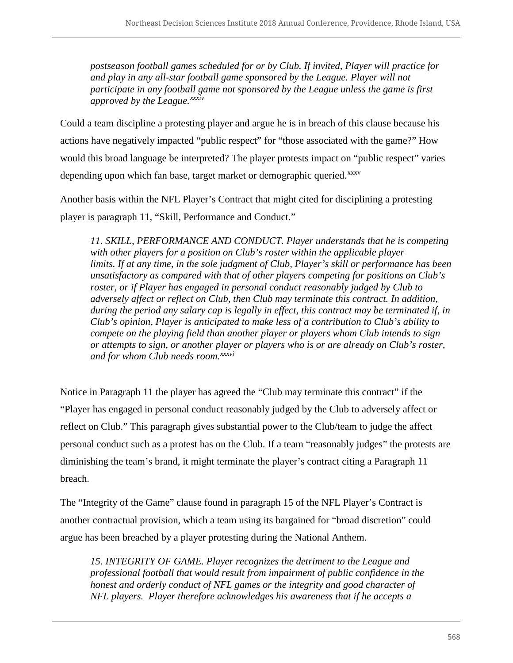*postseason football games scheduled for or by Club. If invited, Player will practice for and play in any all-star football game sponsored by the League. Player will not participate in any football game not sponsored by the League unless the game is first approved by the League.xxxiv*

Could a team discipline a protesting player and argue he is in breach of this clause because his actions have negatively impacted "public respect" for "those associated with the game?" How would this broad language be interpreted? The player protests impact on "public respect" varies depending upon which fan base, target market or demographic queried.<sup>xxxv</sup>

Another basis within the NFL Player's Contract that might cited for disciplining a protesting player is paragraph 11, "Skill, Performance and Conduct."

*11. SKILL, PERFORMANCE AND CONDUCT. Player understands that he is competing with other players for a position on Club's roster within the applicable player limits. If at any time, in the sole judgment of Club, Player's skill or performance has been unsatisfactory as compared with that of other players competing for positions on Club's roster, or if Player has engaged in personal conduct reasonably judged by Club to adversely affect or reflect on Club, then Club may terminate this contract. In addition, during the period any salary cap is legally in effect, this contract may be terminated if, in Club's opinion, Player is anticipated to make less of a contribution to Club's ability to compete on the playing field than another player or players whom Club intends to sign or attempts to sign, or another player or players who is or are already on Club's roster, and for whom Club needs room.xxxvi*

Notice in Paragraph 11 the player has agreed the "Club may terminate this contract" if the "Player has engaged in personal conduct reasonably judged by the Club to adversely affect or reflect on Club." This paragraph gives substantial power to the Club/team to judge the affect personal conduct such as a protest has on the Club. If a team "reasonably judges" the protests are diminishing the team's brand, it might terminate the player's contract citing a Paragraph 11 breach.

The "Integrity of the Game" clause found in paragraph 15 of the NFL Player's Contract is another contractual provision, which a team using its bargained for "broad discretion" could argue has been breached by a player protesting during the National Anthem.

*15. INTEGRITY OF GAME. Player recognizes the detriment to the League and professional football that would result from impairment of public confidence in the honest and orderly conduct of NFL games or the integrity and good character of NFL players. Player therefore acknowledges his awareness that if he accepts a*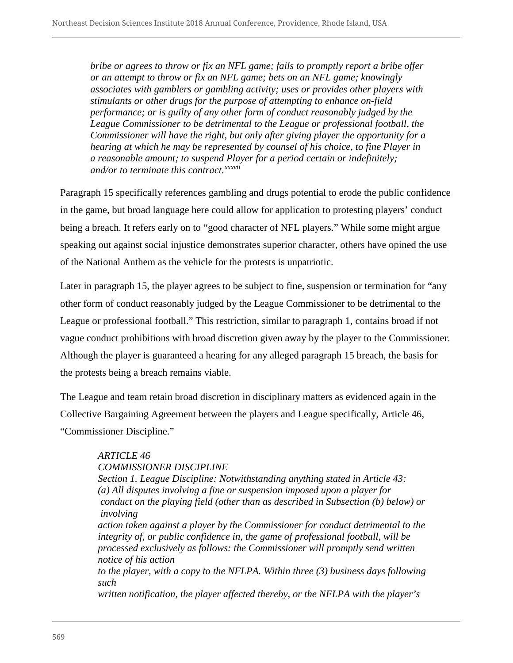*bribe or agrees to throw or fix an NFL game; fails to promptly report a bribe offer or an attempt to throw or fix an NFL game; bets on an NFL game; knowingly associates with gamblers or gambling activity; uses or provides other players with stimulants or other drugs for the purpose of attempting to enhance on-field performance; or is guilty of any other form of conduct reasonably judged by the League Commissioner to be detrimental to the League or professional football, the Commissioner will have the right, but only after giving player the opportunity for a hearing at which he may be represented by counsel of his choice, to fine Player in a reasonable amount; to suspend Player for a period certain or indefinitely; and/or to terminate this contract.xxxvii*

Paragraph 15 specifically references gambling and drugs potential to erode the public confidence in the game, but broad language here could allow for application to protesting players' conduct being a breach. It refers early on to "good character of NFL players." While some might argue speaking out against social injustice demonstrates superior character, others have opined the use of the National Anthem as the vehicle for the protests is unpatriotic.

Later in paragraph 15, the player agrees to be subject to fine, suspension or termination for "any other form of conduct reasonably judged by the League Commissioner to be detrimental to the League or professional football." This restriction, similar to paragraph 1, contains broad if not vague conduct prohibitions with broad discretion given away by the player to the Commissioner. Although the player is guaranteed a hearing for any alleged paragraph 15 breach, the basis for the protests being a breach remains viable.

The League and team retain broad discretion in disciplinary matters as evidenced again in the Collective Bargaining Agreement between the players and League specifically, Article 46, "Commissioner Discipline."

# *ARTICLE 46*

*COMMISSIONER DISCIPLINE*

*Section 1. League Discipline: Notwithstanding anything stated in Article 43: (a) All disputes involving a fine or suspension imposed upon a player for conduct on the playing field (other than as described in Subsection (b) below) or involving*

*action taken against a player by the Commissioner for conduct detrimental to the integrity of, or public confidence in, the game of professional football, will be processed exclusively as follows: the Commissioner will promptly send written notice of his action*

*to the player, with a copy to the NFLPA. Within three (3) business days following such*

*written notification, the player affected thereby, or the NFLPA with the player's*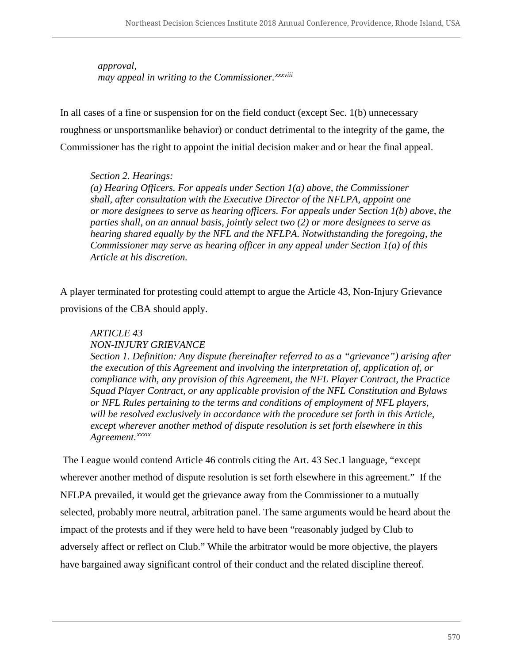*approval, may appeal in writing to the Commissioner.xxxviii*

In all cases of a fine or suspension for on the field conduct (except Sec. 1(b) unnecessary roughness or unsportsmanlike behavior) or conduct detrimental to the integrity of the game, the Commissioner has the right to appoint the initial decision maker and or hear the final appeal.

# *Section 2. Hearings:*

*(a) Hearing Officers. For appeals under Section 1(a) above, the Commissioner shall, after consultation with the Executive Director of the NFLPA, appoint one or more designees to serve as hearing officers. For appeals under Section 1(b) above, the parties shall, on an annual basis, jointly select two (2) or more designees to serve as hearing shared equally by the NFL and the NFLPA. Notwithstanding the foregoing, the Commissioner may serve as hearing officer in any appeal under Section 1(a) of this Article at his discretion.*

A player terminated for protesting could attempt to argue the Article 43, Non-Injury Grievance provisions of the CBA should apply.

#### *ARTICLE 43*

#### *NON-INJURY GRIEVANCE*

*Section 1. Definition: Any dispute (hereinafter referred to as a "grievance") arising after the execution of this Agreement and involving the interpretation of, application of, or compliance with, any provision of this Agreement, the NFL Player Contract, the Practice Squad Player Contract, or any applicable provision of the NFL Constitution and Bylaws or NFL Rules pertaining to the terms and conditions of employment of NFL players, will be resolved exclusively in accordance with the procedure set forth in this Article, except wherever another method of dispute resolution is set forth elsewhere in this Agreement.xxxix*

The League would contend Article 46 controls citing the Art. 43 Sec.1 language, "except wherever another method of dispute resolution is set forth elsewhere in this agreement." If the NFLPA prevailed, it would get the grievance away from the Commissioner to a mutually selected, probably more neutral, arbitration panel. The same arguments would be heard about the impact of the protests and if they were held to have been "reasonably judged by Club to adversely affect or reflect on Club." While the arbitrator would be more objective, the players have bargained away significant control of their conduct and the related discipline thereof.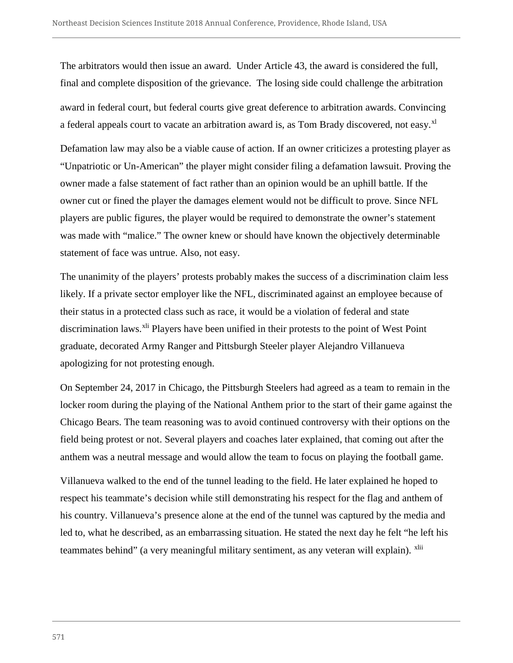The arbitrators would then issue an award. Under Article 43, the award is considered the full, final and complete disposition of the grievance. The losing side could challenge the arbitration award in federal court, but federal courts give great deference to arbitration awards. Convincing a federal appeals court to vacate an arbitration award is, as Tom Brady discovered, not easy.<sup>xl</sup>

Defamation law may also be a viable cause of action. If an owner criticizes a protesting player as "Unpatriotic or Un-American" the player might consider filing a defamation lawsuit. Proving the owner made a false statement of fact rather than an opinion would be an uphill battle. If the owner cut or fined the player the damages element would not be difficult to prove. Since NFL players are public figures, the player would be required to demonstrate the owner's statement was made with "malice." The owner knew or should have known the objectively determinable statement of face was untrue. Also, not easy.

The unanimity of the players' protests probably makes the success of a discrimination claim less likely. If a private sector employer like the NFL, discriminated against an employee because of their status in a protected class such as race, it would be a violation of federal and state discrimination laws.<sup>xli</sup> Players have been unified in their protests to the point of West Point graduate, decorated Army Ranger and Pittsburgh Steeler player Alejandro Villanueva apologizing for not protesting enough.

On September 24, 2017 in Chicago, the Pittsburgh Steelers had agreed as a team to remain in the locker room during the playing of the National Anthem prior to the start of their game against the Chicago Bears. The team reasoning was to avoid continued controversy with their options on the field being protest or not. Several players and coaches later explained, that coming out after the anthem was a neutral message and would allow the team to focus on playing the football game.

Villanueva walked to the end of the tunnel leading to the field. He later explained he hoped to respect his teammate's decision while still demonstrating his respect for the flag and anthem of his country. Villanueva's presence alone at the end of the tunnel was captured by the media and led to, what he described, as an embarrassing situation. He stated the next day he felt "he left his teammates behind" (a very meaningful military sentiment, as any veteran will explain). <sup>xlii</sup>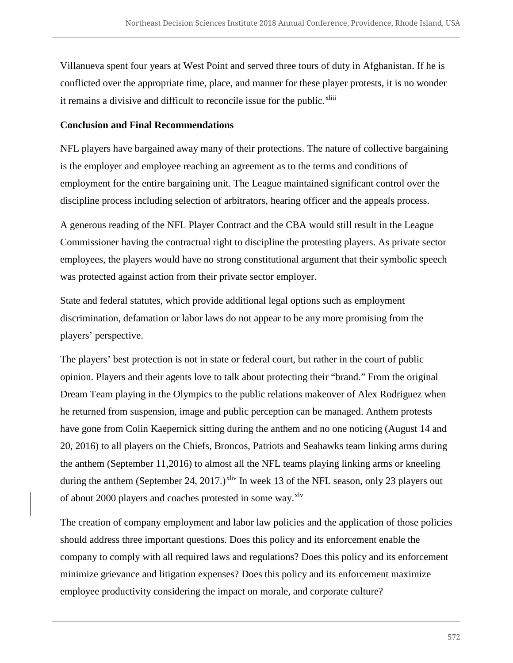Villanueva spent four years at West Point and served three tours of duty in Afghanistan. If he is conflicted over the appropriate time, place, and manner for these player protests, it is no wonder it remains a divisive and difficult to reconcile issue for the public.<sup>xliii</sup>

### **Conclusion and Final Recommendations**

NFL players have bargained away many of their protections. The nature of collective bargaining is the employer and employee reaching an agreement as to the terms and conditions of employment for the entire bargaining unit. The League maintained significant control over the discipline process including selection of arbitrators, hearing officer and the appeals process.

A generous reading of the NFL Player Contract and the CBA would still result in the League Commissioner having the contractual right to discipline the protesting players. As private sector employees, the players would have no strong constitutional argument that their symbolic speech was protected against action from their private sector employer.

State and federal statutes, which provide additional legal options such as employment discrimination, defamation or labor laws do not appear to be any more promising from the players' perspective.

The players' best protection is not in state or federal court, but rather in the court of public opinion. Players and their agents love to talk about protecting their "brand." From the original Dream Team playing in the Olympics to the public relations makeover of Alex Rodriguez when he returned from suspension, image and public perception can be managed. Anthem protests have gone from Colin Kaepernick sitting during the anthem and no one noticing (August 14 and 20, 2016) to all players on the Chiefs, Broncos, Patriots and Seahawks team linking arms during the anthem (September 11,2016) to almost all the NFL teams playing linking arms or kneeling during the anthem (September 24, 2017.)<sup>xliv</sup> In week 13 of the NFL season, only 23 players out of about 2000 players and coaches protested in some way.<sup>xlv</sup>

The creation of company employment and labor law policies and the application of those policies should address three important questions. Does this policy and its enforcement enable the company to comply with all required laws and regulations? Does this policy and its enforcement minimize grievance and litigation expenses? Does this policy and its enforcement maximize employee productivity considering the impact on morale, and corporate culture?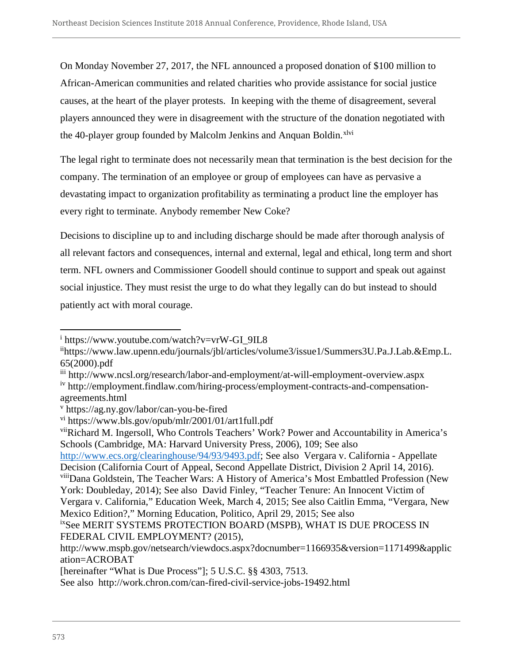On Monday November 27, 2017, the NFL announced a proposed donation of \$100 million to African-American communities and related charities who provide assistance for social justice causes, at the heart of the player protests. In keeping with the theme of disagreement, several players announced they were in disagreement with the structure of the donation negotiated with the 40-player group founded by Malcolm Jenkins and Anquan Boldin.<sup>xlvi</sup>

The legal right to terminate does not necessarily mean that termination is the best decision for the company. The termination of an employee or group of employees can have as pervasive a devastating impact to organization profitability as terminating a product line the employer has every right to terminate. Anybody remember New Coke?

Decisions to discipline up to and including discharge should be made after thorough analysis of all relevant factors and consequences, internal and external, legal and ethical, long term and short term. NFL owners and Commissioner Goodell should continue to support and speak out against social injustice. They must resist the urge to do what they legally can do but instead to should patiently act with moral courage.

iii http://www.ncsl.org/research/labor-and-employment/at-will-employment-overview.aspx

viiRichard M. Ingersoll, Who Controls Teachers' Work? Power and Accountability in America's Schools (Cambridge, MA: Harvard University Press, 2006), 109; See also http://www.ecs.org/clearinghouse/94/93/9493.pdf; See also Vergara v. California - Appellate Decision (California Court of Appeal, Second Appellate District, Division 2 April 14, 2016). viiiDana Goldstein, The Teacher Wars: A History of America's Most Embattled Profession (New York: Doubleday, 2014); See also David Finley, "Teacher Tenure: An Innocent Victim of Vergara v. California," Education Week, March 4, 2015; See also Caitlin Emma, "Vergara, New Mexico Edition?," Morning Education, Politico, April 29, 2015; See also ixSee MERIT SYSTEMS PROTECTION BOARD (MSPB), WHAT IS DUE PROCESS IN

 $\overline{a}$ 

<sup>i</sup> https://www.youtube.com/watch?v=vrW-GI\_9IL8

iihttps://www.law.upenn.edu/journals/jbl/articles/volume3/issue1/Summers3U.Pa.J.Lab.&Emp.L. 65(2000).pdf

iv http://employment.findlaw.com/hiring-process/employment-contracts-and-compensationagreements.html

<sup>v</sup> https://ag.ny.gov/labor/can-you-be-fired

vi https://www.bls.gov/opub/mlr/2001/01/art1full.pdf

FEDERAL CIVIL EMPLOYMENT? (2015), http://www.mspb.gov/netsearch/viewdocs.aspx?docnumber=1166935&version=1171499&applic ation=ACROBAT

<sup>[</sup>hereinafter "What is Due Process"]; 5 U.S.C. §§ 4303, 7513.

See also http://work.chron.com/can-fired-civil-service-jobs-19492.html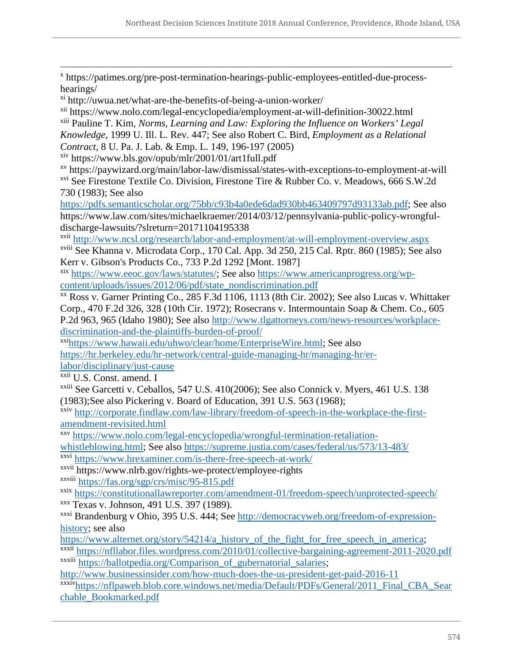$\overline{a}$ <sup>x</sup> https://patimes.org/pre-post-termination-hearings-public-employees-entitled-due-processhearings/

xi http://uwua.net/what-are-the-benefits-of-being-a-union-worker/

xii https://www.nolo.com/legal-encyclopedia/employment-at-will-definition-30022.html

xiii Pauline T. Kim*, Norms, Learning and Law: Exploring the Influence on Workers' Legal* 

*Knowledge,* 1999 U. Ill. L. Rev. 447; See also Robert C. Bird, *Employment as a Relational*

*Contract*, 8 U. Pa. J. Lab. & Emp. L. 149, 196-197 (2005)

xiv https://www.bls.gov/opub/mlr/2001/01/art1full.pdf

xv https://paywizard.org/main/labor-law/dismissal/states-with-exceptions-to-employment-at-will xvi See Firestone Textile Co. Division, Firestone Tire & Rubber Co. v. Meadows, 666 S.W.2d 730 (1983); See also

https://pdfs.semanticscholar.org/75bb/c93b4a0ede6dad930bb463409797d93133ab.pdf; See also https://www.law.com/sites/michaelkraemer/2014/03/12/pennsylvania-public-policy-wrongfuldischarge-lawsuits/?slreturn=20171104195338

xvii http://www.ncsl.org/research/labor-and-employment/at-will-employment-overview.aspx xviii See Khanna v. Microdata Corp., 170 Cal. App. 3d 250, 215 Cal. Rptr. 860 (1985); See also Kerr v. Gibson's Products Co., 733 P.2d 1292 [Mont. 1987]

xix https://www.eeoc.gov/laws/statutes/; See also https://www.americanprogress.org/wpcontent/uploads/issues/2012/06/pdf/state\_nondiscrimination.pdf

xx Ross v. Garner Printing Co., 285 F.3d 1106, 1113 (8th Cir. 2002); See also Lucas v. Whittaker Corp., 470 F.2d 326, 328 (10th Cir. 1972); Rosecrans v. Intermountain Soap & Chem. Co., 605 P.2d 963, 965 (Idaho 1980); See also http://www.tlgattorneys.com/news-resources/workplacediscrimination-and-the-plaintiffs-burden-of-proof/

xxihttps://www.hawaii.edu/uhwo/clear/home/EnterpriseWire.html; See also https://hr.berkeley.edu/hr-network/central-guide-managing-hr/managing-hr/er-

labor/disciplinary/just-cause

xxii U.S. Const. amend. I

xxiii See Garcetti v. Ceballos, 547 U.S. 410(2006); See also Connick v. Myers, 461 U.S. 138 (1983);See also Pickering v. Board of Education, 391 U.S. 563 (1968);

xxiv http://corporate.findlaw.com/law-library/freedom-of-speech-in-the-workplace-the-firstamendment-revisited.html

xxv https://www.nolo.com/legal-encyclopedia/wrongful-termination-retaliation-

whistleblowing.html; See also https://supreme.justia.com/cases/federal/us/573/13-483/

xxvi https://www.hrexaminer.com/is-there-free-speech-at-work/

xxvii https://www.nlrb.gov/rights-we-protect/employee-rights xxviii https://fas.org/sgp/crs/misc/95-815.pdf

xxix https://constitutionallawreporter.com/amendment-01/freedom-speech/unprotected-speech/ xxx Texas v. Johnson, 491 U.S. 397 (1989).

xxxi Brandenburg v Ohio, 395 U.S. 444; See http://democracyweb.org/freedom-of-expressionhistory; see also

https://www.alternet.org/story/54214/a\_history\_of\_the\_fight\_for\_free\_speech\_in\_america; xxxii https://nfllabor.files.wordpress.com/2010/01/collective-bargaining-agreement-2011-2020.pdf

xxxiii https://ballotpedia.org/Comparison\_of\_gubernatorial\_salaries;

http://www.businessinsider.com/how-much-does-the-us-president-get-paid-2016-11 xxxivhttps://nflpaweb.blob.core.windows.net/media/Default/PDFs/General/2011\_Final\_CBA\_Sear

chable\_Bookmarked.pdf